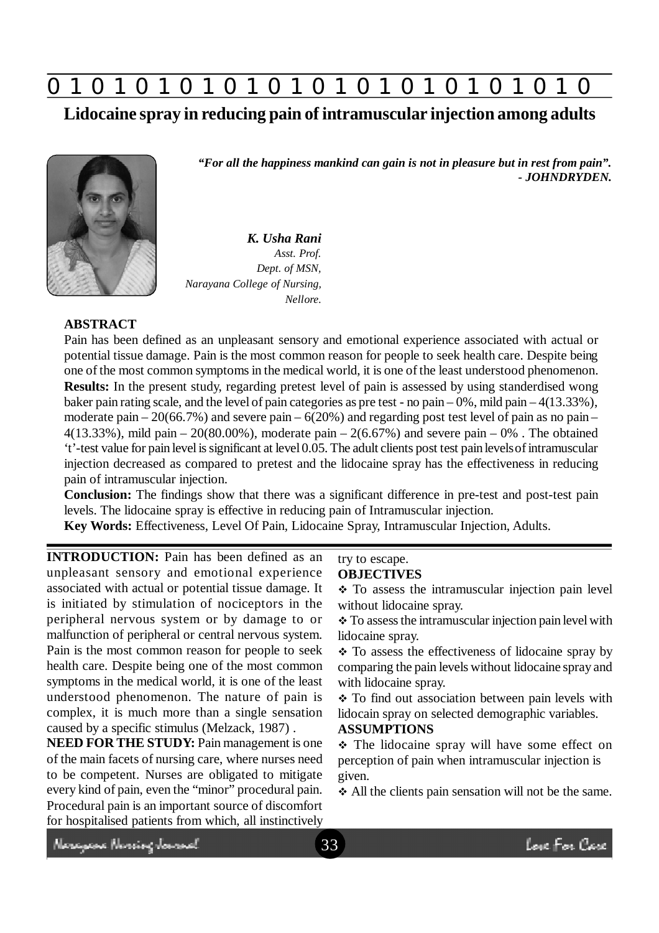**0 z 0 z 0 z 0 z 0 z 0 z 0 z 0 z 0 z 0 z 0 z 0 z 0**

**Lidocaine spray in reducing pain of intramuscular injection among adults**



*"For all the happiness mankind can gain is not in pleasure but in rest from pain". - JOHNDRYDEN.*

*K. Usha Rani Asst. Prof. Dept. of MSN, Narayana College of Nursing, Nellore.*

## **ABSTRACT**

Pain has been defined as an unpleasant sensory and emotional experience associated with actual or potential tissue damage. Pain is the most common reason for people to seek health care. Despite being one of the most common symptoms in the medical world, it is one of the least understood phenomenon. **Results:** In the present study, regarding pretest level of pain is assessed by using standerdised wong baker pain rating scale, and the level of pain categories as pre test - no pain – 0%, mild pain – 4(13.33%), moderate pain –  $20(66.7%)$  and severe pain –  $6(20%)$  and regarding post test level of pain as no pain – 4(13.33%), mild pain – 20(80.00%), moderate pain – 2(6.67%) and severe pain – 0%. The obtained 't'-test value for pain level is significant at level 0.05. The adult clients post test pain levels of intramuscular injection decreased as compared to pretest and the lidocaine spray has the effectiveness in reducing pain of intramuscular injection.

**Conclusion:** The findings show that there was a significant difference in pre-test and post-test pain levels. The lidocaine spray is effective in reducing pain of Intramuscular injection.

**Key Words:** Effectiveness, Level Of Pain, Lidocaine Spray, Intramuscular Injection, Adults.

**INTRODUCTION:** Pain has been defined as an unpleasant sensory and emotional experience associated with actual or potential tissue damage. It is initiated by stimulation of nociceptors in the peripheral nervous system or by damage to or malfunction of peripheral or central nervous system. Pain is the most common reason for people to seek health care. Despite being one of the most common symptoms in the medical world, it is one of the least understood phenomenon. The nature of pain is complex, it is much more than a single sensation caused by a specific stimulus (Melzack, 1987) .

**NEED FOR THE STUDY:** Pain management is one of the main facets of nursing care, where nurses need to be competent. Nurses are obligated to mitigate every kind of pain, even the "minor" procedural pain. Procedural pain is an important source of discomfort for hospitalised patients from which, all instinctively

#### try to escape. **OBJECTIVES**

 $\div$  To assess the intramuscular injection pain level without lidocaine spray.

\* To assess the intramuscular injection pain level with lidocaine spray.

 $\div$  To assess the effectiveness of lidocaine spray by comparing the pain levels without lidocaine spray and with lidocaine spray.

• To find out association between pain levels with lidocain spray on selected demographic variables.

#### **ASSUMPTIONS**

\* The lidocaine spray will have some effect on perception of pain when intramuscular injection is given.

All the clients pain sensation will not be the same.

Neregear Nereing Journal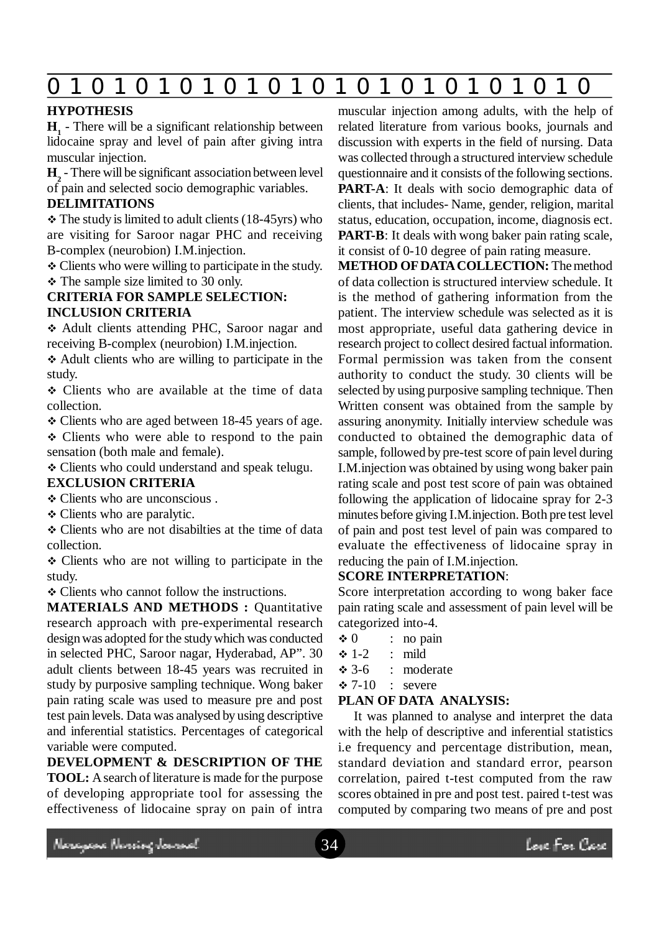## **0 z 0 z 0 z 0 z 0 z 0 z 0 z 0 z 0 z 0 z 0 z 0 z 0**

## **HYPOTHESIS**

**H1** - There will be a significant relationship between lidocaine spray and level of pain after giving intra muscular injection.

**H2** - There will be significant association between level of pain and selected socio demographic variables.

#### **DELIMITATIONS**

 $\div$  The study is limited to adult clients (18-45yrs) who are visiting for Saroor nagar PHC and receiving B-complex (neurobion) I.M.injection.

 Clients who were willing to participate in the study. • The sample size limited to 30 only.

## **CRITERIA FOR SAMPLE SELECTION: INCLUSION CRITERIA**

 Adult clients attending PHC, Saroor nagar and receiving B-complex (neurobion) I.M.injection.

 Adult clients who are willing to participate in the study.

 Clients who are available at the time of data collection.

• Clients who are aged between 18-45 years of age.

• Clients who were able to respond to the pain sensation (both male and female).

Clients who could understand and speak telugu.

## **EXCLUSION CRITERIA**

Clients who are unconscious .

Clients who are paralytic.

 Clients who are not disabilties at the time of data collection.

• Clients who are not willing to participate in the study.

• Clients who cannot follow the instructions.

**MATERIALS AND METHODS : Ouantitative** research approach with pre-experimental research design was adopted for the study which was conducted in selected PHC, Saroor nagar, Hyderabad, AP". 30 adult clients between 18-45 years was recruited in study by purposive sampling technique. Wong baker pain rating scale was used to measure pre and post test pain levels. Data was analysed by using descriptive and inferential statistics. Percentages of categorical variable were computed.

**DEVELOPMENT & DESCRIPTION OF THE TOOL:** A search of literature is made for the purpose of developing appropriate tool for assessing the effectiveness of lidocaine spray on pain of intra muscular injection among adults, with the help of related literature from various books, journals and discussion with experts in the field of nursing. Data was collected through a structured interview schedule questionnaire and it consists of the following sections. **PART-A:** It deals with socio demographic data of clients, that includes- Name, gender, religion, marital status, education, occupation, income, diagnosis ect. **PART-B:** It deals with wong baker pain rating scale, it consist of 0-10 degree of pain rating measure.

**METHOD OF DATA COLLECTION:** The method of data collection is structured interview schedule. It is the method of gathering information from the patient. The interview schedule was selected as it is most appropriate, useful data gathering device in research project to collect desired factual information. Formal permission was taken from the consent authority to conduct the study. 30 clients will be selected by using purposive sampling technique. Then Written consent was obtained from the sample by assuring anonymity. Initially interview schedule was conducted to obtained the demographic data of sample, followed by pre-test score of pain level during I.M.injection was obtained by using wong baker pain rating scale and post test score of pain was obtained following the application of lidocaine spray for 2-3 minutes before giving I.M.injection. Both pre test level of pain and post test level of pain was compared to evaluate the effectiveness of lidocaine spray in reducing the pain of I.M.injection.

## **SCORE INTERPRETATION**:

Score interpretation according to wong baker face pain rating scale and assessment of pain level will be categorized into-4.

 $\div 0$  : no pain  $\div$  1-2 : mild  $\div$  3-6 : moderate  $\div 7-10$  : severe

## **PLAN OF DATA ANALYSIS:**

It was planned to analyse and interpret the data with the help of descriptive and inferential statistics i.e frequency and percentage distribution, mean, standard deviation and standard error, pearson correlation, paired t-test computed from the raw scores obtained in pre and post test. paired t-test was computed by comparing two means of pre and post